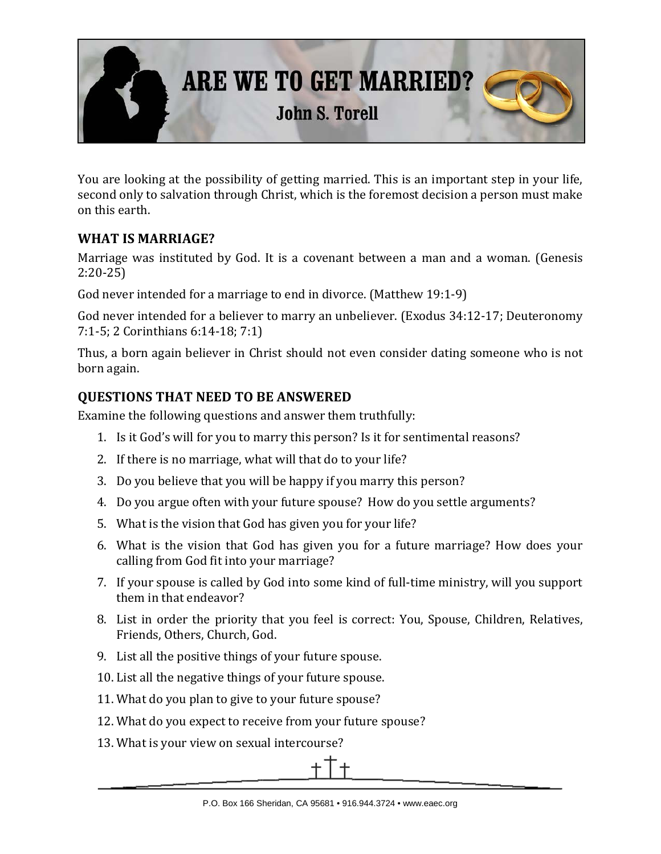

You are looking at the possibility of getting married. This is an important step in your life, second only to salvation through Christ, which is the foremost decision a person must make on this earth.

## **WHAT IS MARRIAGE?**

Marriage was instituted by God. It is a covenant between a man and a woman. (Genesis 2:20-25)

God never intended for a marriage to end in divorce. (Matthew 19:1-9)

God never intended for a believer to marry an unbeliever. (Exodus 34:12-17; Deuteronomy 7:1-5; 2 Corinthians 6:14-18; 7:1)

Thus, a born again believer in Christ should not even consider dating someone who is not born again.

## **QUESTIONS THAT NEED TO BE ANSWERED**

Examine the following questions and answer them truthfully:

- 1. Is it God's will for you to marry this person? Is it for sentimental reasons?
- 2. If there is no marriage, what will that do to your life?
- 3. Do you believe that you will be happy if you marry this person?
- 4. Do you argue often with your future spouse? How do you settle arguments?
- 5. What is the vision that God has given you for your life?
- 6. What is the vision that God has given you for a future marriage? How does your calling from God fit into your marriage?
- 7. If your spouse is called by God into some kind of full-time ministry, will you support them in that endeavor?
- 8. List in order the priority that you feel is correct: You, Spouse, Children, Relatives, Friends, Others, Church, God.
- 9. List all the positive things of your future spouse.
- 10. List all the negative things of your future spouse.
- 11. What do you plan to give to your future spouse?
- 12. What do you expect to receive from your future spouse?
- 13. What is your view on sexual intercourse?